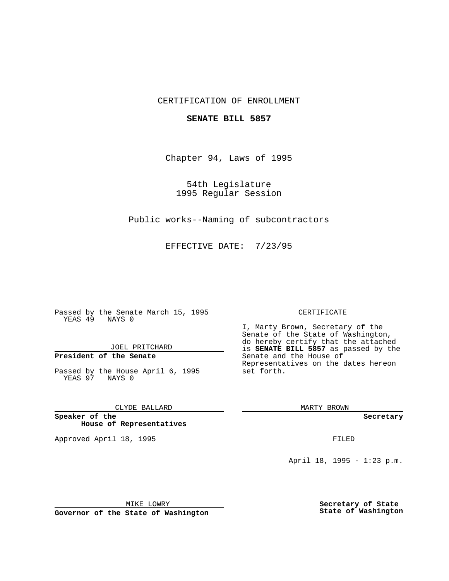## CERTIFICATION OF ENROLLMENT

### **SENATE BILL 5857**

Chapter 94, Laws of 1995

54th Legislature 1995 Regular Session

Public works--Naming of subcontractors

EFFECTIVE DATE: 7/23/95

Passed by the Senate March 15, 1995 YEAS 49 NAYS 0

JOEL PRITCHARD

# **President of the Senate**

Passed by the House April 6, 1995 YEAS 97 NAYS 0

CLYDE BALLARD

**Speaker of the House of Representatives**

Approved April 18, 1995 FILED

#### CERTIFICATE

I, Marty Brown, Secretary of the Senate of the State of Washington, do hereby certify that the attached is **SENATE BILL 5857** as passed by the Senate and the House of Representatives on the dates hereon set forth.

MARTY BROWN

**Secretary**

April 18, 1995 - 1:23 p.m.

MIKE LOWRY

**Governor of the State of Washington**

**Secretary of State State of Washington**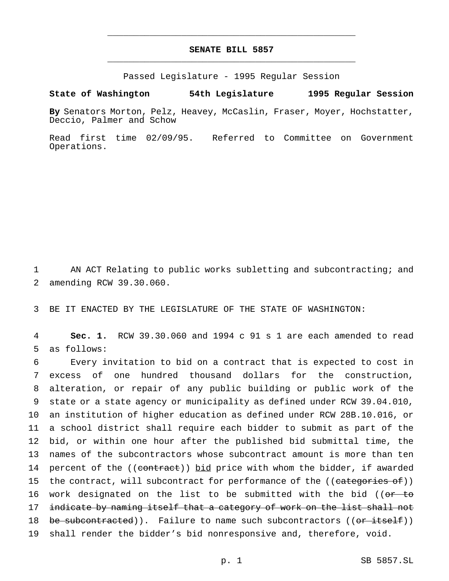# **SENATE BILL 5857** \_\_\_\_\_\_\_\_\_\_\_\_\_\_\_\_\_\_\_\_\_\_\_\_\_\_\_\_\_\_\_\_\_\_\_\_\_\_\_\_\_\_\_\_\_\_\_

\_\_\_\_\_\_\_\_\_\_\_\_\_\_\_\_\_\_\_\_\_\_\_\_\_\_\_\_\_\_\_\_\_\_\_\_\_\_\_\_\_\_\_\_\_\_\_

Passed Legislature - 1995 Regular Session

### **State of Washington 54th Legislature 1995 Regular Session**

**By** Senators Morton, Pelz, Heavey, McCaslin, Fraser, Moyer, Hochstatter, Deccio, Palmer and Schow

Read first time 02/09/95. Referred to Committee on Government Operations.

1 AN ACT Relating to public works subletting and subcontracting; and 2 amending RCW 39.30.060.

3 BE IT ENACTED BY THE LEGISLATURE OF THE STATE OF WASHINGTON:

4 **Sec. 1.** RCW 39.30.060 and 1994 c 91 s 1 are each amended to read 5 as follows:

 Every invitation to bid on a contract that is expected to cost in excess of one hundred thousand dollars for the construction, alteration, or repair of any public building or public work of the state or a state agency or municipality as defined under RCW 39.04.010, an institution of higher education as defined under RCW 28B.10.016, or a school district shall require each bidder to submit as part of the bid, or within one hour after the published bid submittal time, the names of the subcontractors whose subcontract amount is more than ten 14 percent of the ((contract)) bid price with whom the bidder, if awarded 15 the contract, will subcontract for performance of the ((categories of)) 16 work designated on the list to be submitted with the bid ((or to 17 indicate by naming itself that a category of work on the list shall not 18 be subcontracted)). Failure to name such subcontractors ((or itself)) shall render the bidder's bid nonresponsive and, therefore, void.